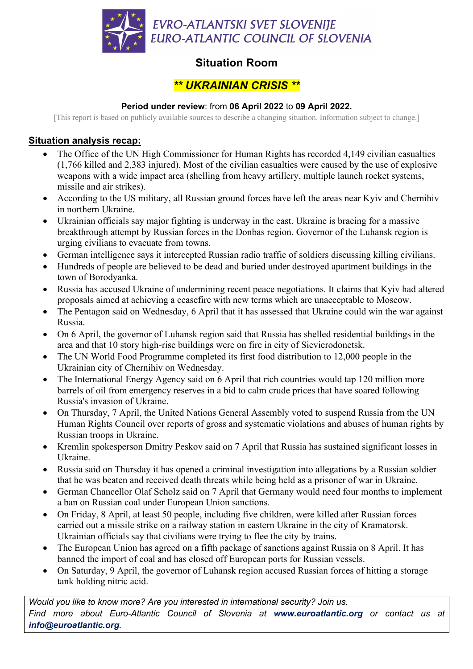

# **Situation Room**

# *\*\* UKRAINIAN CRISIS \*\**

## **Period under review**: from **06 April 2022** to **09 April 2022.**

[This report is based on publicly available sources to describe a changing situation. Information subject to change.]

## **Situation analysis recap:**

- The Office of the UN High Commissioner for Human Rights has recorded 4,149 civilian casualties (1,766 killed and 2,383 injured). Most of the civilian casualties were caused by the use of explosive weapons with a wide impact area (shelling from heavy artillery, multiple launch rocket systems, missile and air strikes).
- According to the US military, all Russian ground forces have left the areas near Kyiv and Chernihiv in northern Ukraine.
- Ukrainian officials say major fighting is underway in the east. Ukraine is bracing for a massive breakthrough attempt by Russian forces in the Donbas region. Governor of the Luhansk region is urging civilians to evacuate from towns.
- German intelligence says it intercepted Russian radio traffic of soldiers discussing killing civilians.
- Hundreds of people are believed to be dead and buried under destroyed apartment buildings in the town of Borodyanka.
- Russia has accused Ukraine of undermining recent peace negotiations. It claims that Kyiv had altered proposals aimed at achieving a ceasefire with new terms which are unacceptable to Moscow.
- The Pentagon said on Wednesday, 6 April that it has assessed that Ukraine could win the war against Russia.
- On 6 April, the governor of Luhansk region said that Russia has shelled residential buildings in the area and that 10 story high-rise buildings were on fire in city of Sievierodonetsk.
- The UN World Food Programme completed its first food distribution to 12,000 people in the Ukrainian city of Chernihiv on Wednesday.
- The International Energy Agency said on 6 April that rich countries would tap 120 million more barrels of oil from emergency reserves in a bid to calm crude prices that have soared following Russia's invasion of Ukraine.
- On Thursday, 7 April, the United Nations General Assembly voted to suspend Russia from the UN Human Rights Council over reports of gross and systematic violations and abuses of human rights by Russian troops in Ukraine.
- Kremlin spokesperson Dmitry Peskov said on 7 April that Russia has sustained significant losses in Ukraine.
- Russia said on Thursday it has opened a criminal investigation into allegations by a Russian soldier that he was beaten and received death threats while being held as a prisoner of war in Ukraine.
- German Chancellor Olaf Scholz said on 7 April that Germany would need four months to implement a ban on Russian coal under European Union sanctions.
- On Friday, 8 April, at least 50 people, including five children, were killed after Russian forces carried out a missile strike on a railway station in eastern Ukraine in the city of Kramatorsk. Ukrainian officials say that civilians were trying to flee the city by trains.
- The European Union has agreed on a fifth package of sanctions against Russia on 8 April. It has banned the import of coal and has closed off European ports for Russian vessels.
- On Saturday, 9 April, the governor of Luhansk region accused Russian forces of hitting a storage tank holding nitric acid.

*Would you like to know more? Are you interested in international security? Join us. Find more about Euro-Atlantic Council of Slovenia at www.euroatlantic.org or contact us at info@euroatlantic.org.*